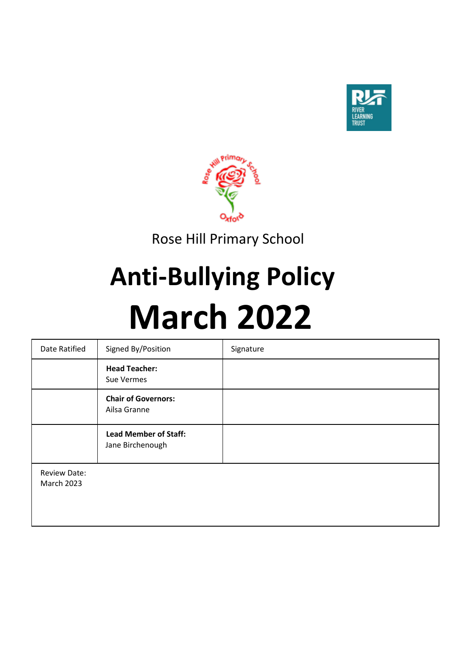



Rose Hill Primary School

# **Anti-Bullying Policy March 2022**

| Date Ratified                            | Signed By/Position                               | Signature |
|------------------------------------------|--------------------------------------------------|-----------|
|                                          | <b>Head Teacher:</b><br>Sue Vermes               |           |
|                                          | <b>Chair of Governors:</b><br>Ailsa Granne       |           |
|                                          | <b>Lead Member of Staff:</b><br>Jane Birchenough |           |
| <b>Review Date:</b><br><b>March 2023</b> |                                                  |           |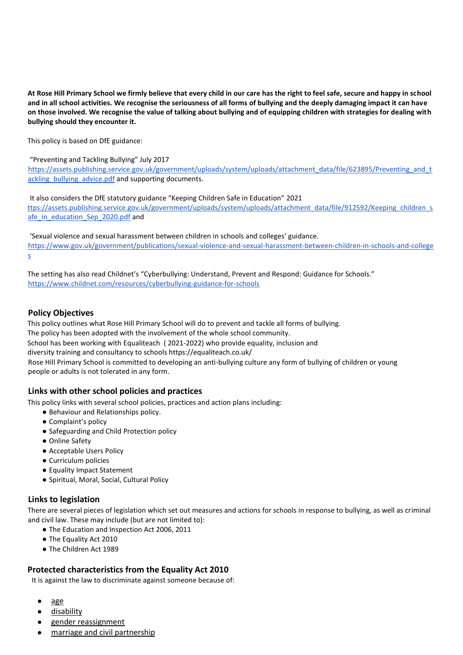**At Rose Hill Primary School we firmly believe that every child in our care has the right to feel safe, secure and happy in school and in all school activities. We recognise the seriousness of all forms of bullying and the deeply damaging impact it can have on those involved. We recognise the value of talking about bullying and of equipping children with strategies for dealing with bullying should they encounter it.** 

This policy is based on DfE guidance:

"Preventing and Tackling Bullying" July 2017

https://assets.publishing.service.gov.uk/government/uploads/system/uploads/attachment\_data/file/623895/Preventing\_and\_t ackling\_bullying\_advice.pdf and supporting documents.

It also considers the DfE statutory guidance "Keeping Children Safe in Education" 2021 ttps://assets.publishing.service.gov.uk/government/uploads/system/uploads/attachment\_data/file/912592/Keeping\_children\_s afe in education Sep 2020.pdf and

'Sexual violence and sexual harassment between children in schools and colleges' guidance. https://www.gov.uk/government/publications/sexual-violence-and-sexual-harassment-between-children-in-schools-and-college s

The setting has also read Childnet's "Cyberbullying: Understand, Prevent and Respond: Guidance for Schools." https://www.childnet.com/resources/cyberbullying-guidance-for-schools

#### **Policy Objectives**

This policy outlines what Rose Hill Primary School will do to prevent and tackle all forms of bullying. The policy has been adopted with the involvement of the whole school community. School has been working with Equaliteach ( 2021-2022) who provide equality, inclusion and diversity training and consultancy to schools https://equaliteach.co.uk/ Rose Hill Primary School is committed to developing an anti-bullying culture any form of bullying of children or young people or adults is not tolerated in any form.

# **Links with other school policies and practices**

This policy links with several school policies, practices and action plans including:

- Behaviour and Relationships policy.
- Complaint's policy
- Safeguarding and Child Protection policy
- Online Safety
- Acceptable Users Policy
- Curriculum policies
- Equality Impact Statement
- Spiritual, Moral, Social, Cultural Policy

# **Links to legislation**

There are several pieces of legislation which set out measures and actions for schools in response to bullying, as well as criminal and civil law. These may include (but are not limited to):

- The Education and Inspection Act 2006, 2011
- The Equality Act 2010
- The Children Act 1989

# **Protected characteristics from the Equality Act 2010**

It is against the law to discriminate against someone because of:

- [age](https://www.equalityhumanrights.com/en/equality-act/protected-characteristics#age)
- [disability](https://www.equalityhumanrights.com/en/equality-act/protected-characteristics#disability)
- [gender reassignment](https://www.equalityhumanrights.com/en/equality-act/protected-characteristics#reassignment)
- [marriage and civil partnership](https://www.equalityhumanrights.com/en/equality-act/protected-characteristics#marriage)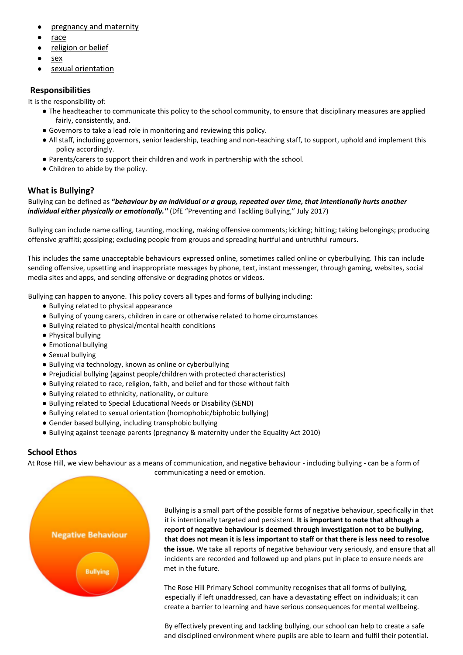- [pregnancy and maternity](https://www.equalityhumanrights.com/en/equality-act/protected-characteristics#pregmat)
- [race](https://www.equalityhumanrights.com/en/equality-act/protected-characteristics#race)
- [religion or belief](https://www.equalityhumanrights.com/en/equality-act/protected-characteristics#rob)
- [sex](https://www.equalityhumanrights.com/en/equality-act/protected-characteristics#sex)
- [sexual orientation](https://www.equalityhumanrights.com/en/equality-act/protected-characteristics#lgb)

# **Responsibilities**

It is the responsibility of:

- The headteacher to communicate this policy to the school community, to ensure that disciplinary measures are applied fairly, consistently, and.
- Governors to take a lead role in monitoring and reviewing this policy.
- All staff, including governors, senior leadership, teaching and non-teaching staff, to support, uphold and implement this policy accordingly.
- Parents/carers to support their children and work in partnership with the school.
- Children to abide by the policy.

# **What is Bullying?**

Bullying can be defined as **"***behaviour by an individual or a group, repeated over time, that intentionally hurts another individual either physically or emotionally.''* (DfE "Preventing and Tackling Bullying," July 2017)

Bullying can include name calling, taunting, mocking, making offensive comments; kicking; hitting; taking belongings; producing offensive graffiti; gossiping; excluding people from groups and spreading hurtful and untruthful rumours.

This includes the same unacceptable behaviours expressed online, sometimes called online or cyberbullying. This can include sending offensive, upsetting and inappropriate messages by phone, text, instant messenger, through gaming, websites, social media sites and apps, and sending offensive or degrading photos or videos.

Bullying can happen to anyone. This policy covers all types and forms of bullying including:

- Bullying related to physical appearance
- Bullying of young carers, children in care or otherwise related to home circumstances
- Bullying related to physical/mental health conditions
- Physical bullying
- Emotional bullying
- Sexual bullying
- Bullying via technology, known as online or cyberbullying
- Prejudicial bullying (against people/children with protected characteristics)
- Bullying related to race, religion, faith, and belief and for those without faith
- Bullying related to ethnicity, nationality, or culture
- Bullying related to Special Educational Needs or Disability (SEND)
- Bullying related to sexual orientation (homophobic/biphobic bullying)
- Gender based bullying, including transphobic bullying
- Bullying against teenage parents (pregnancy & maternity under the Equality Act 2010)

# **School Ethos**

At Rose Hill, we view behaviour as a means of communication, and negative behaviour - including bullying - can be a form of communicating a need or emotion.



Bullying is a small part of the possible forms of negative behaviour, specifically in that it is intentionally targeted and persistent. **It is important to note that although a report of negative behaviour is deemed through investigation not to be bullying, that does not mean it is less important to staff or that there is less need to resolve the issue.** We take all reports of negative behaviour very seriously, and ensure that all incidents are recorded and followed up and plans put in place to ensure needs are met in the future.

The Rose Hill Primary School community recognises that all forms of bullying, especially if left unaddressed, can have a devastating effect on individuals; it can create a barrier to learning and have serious consequences for mental wellbeing.

By effectively preventing and tackling bullying, our school can help to create a safe and disciplined environment where pupils are able to learn and fulfil their potential.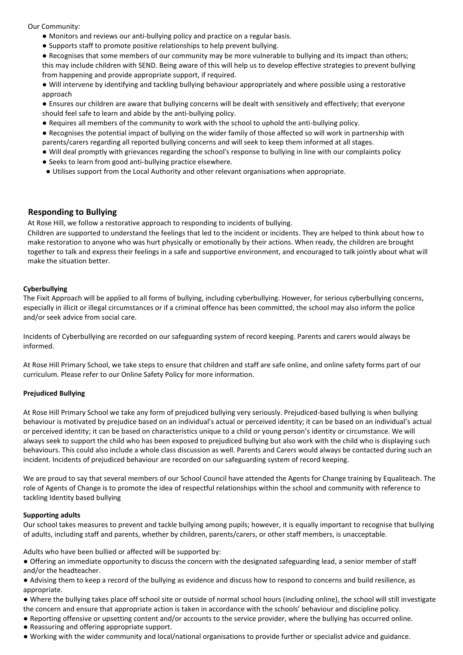Our Community:

- Monitors and reviews our anti-bullying policy and practice on a regular basis.
- Supports staff to promote positive relationships to help prevent bullying.

● Recognises that some members of our community may be more vulnerable to bullying and its impact than others; this may include children with SEND. Being aware of this will help us to develop effective strategies to prevent bullying from happening and provide appropriate support, if required.

● Will intervene by identifying and tackling bullying behaviour appropriately and where possible using a restorative approach

● Ensures our children are aware that bullying concerns will be dealt with sensitively and effectively; that everyone should feel safe to learn and abide by the anti-bullying policy.

● Requires all members of the community to work with the school to uphold the anti-bullying policy.

● Recognises the potential impact of bullying on the wider family of those affected so will work in partnership with parents/carers regarding all reported bullying concerns and will seek to keep them informed at all stages.

- Will deal promptly with grievances regarding the school's response to bullying in line with our complaints policy
- Seeks to learn from good anti-bullying practice elsewhere.
- Utilises support from the Local Authority and other relevant organisations when appropriate.

#### **Responding to Bullying**

At Rose Hill, we follow a restorative approach to responding to incidents of bullying.

Children are supported to understand the feelings that led to the incident or incidents. They are helped to think about how to make restoration to anyone who was hurt physically or emotionally by their actions. When ready, the children are brought together to talk and express their feelings in a safe and supportive environment, and encouraged to talk jointly about what will make the situation better.

#### **Cyberbullying**

The Fixit Approach will be applied to all forms of bullying, including cyberbullying. However, for serious cyberbullying concerns, especially in illicit or illegal circumstances or if a criminal offence has been committed, the school may also inform the police and/or seek advice from social care.

Incidents of Cyberbullying are recorded on our safeguarding system of record keeping. Parents and carers would always be informed.

At Rose Hill Primary School, we take steps to ensure that children and staff are safe online, and online safety forms part of our curriculum. Please refer to our Online Safety Policy for more information.

#### **Prejudiced Bullying**

At Rose Hill Primary School we take any form of prejudiced bullying very seriously. Prejudiced-based bullying is when bullying behaviour is motivated by prejudice based on an individual's actual or perceived identity; it can be based on an individual's actual or perceived identity; it can be based on characteristics unique to a child or young person's identity or circumstance. We will always seek to support the child who has been exposed to prejudiced bullying but also work with the child who is displaying such behaviours. This could also include a whole class discussion as well. Parents and Carers would always be contacted during such an incident. Incidents of prejudiced behaviour are recorded on our safeguarding system of record keeping.

We are proud to say that several members of our School Council have attended the Agents for Change training by Equaliteach. The role of Agents of Change is to promote the idea of respectful relationships within the school and community with reference to tackling Identity based bullying

#### **Supporting adults**

Our school takes measures to prevent and tackle bullying among pupils; however, it is equally important to recognise that bullying of adults, including staff and parents, whether by children, parents/carers, or other staff members, is unacceptable.

Adults who have been bullied or affected will be supported by:

● Offering an immediate opportunity to discuss the concern with the designated safeguarding lead, a senior member of staff and/or the headteacher.

● Advising them to keep a record of the bullying as evidence and discuss how to respond to concerns and build resilience, as appropriate.

● Where the bullying takes place off school site or outside of normal school hours (including online), the school will still investigate the concern and ensure that appropriate action is taken in accordance with the schools' behaviour and discipline policy.

- Reporting offensive or upsetting content and/or accounts to the service provider, where the bullying has occurred online.
- Reassuring and offering appropriate support.
- Working with the wider community and local/national organisations to provide further or specialist advice and guidance.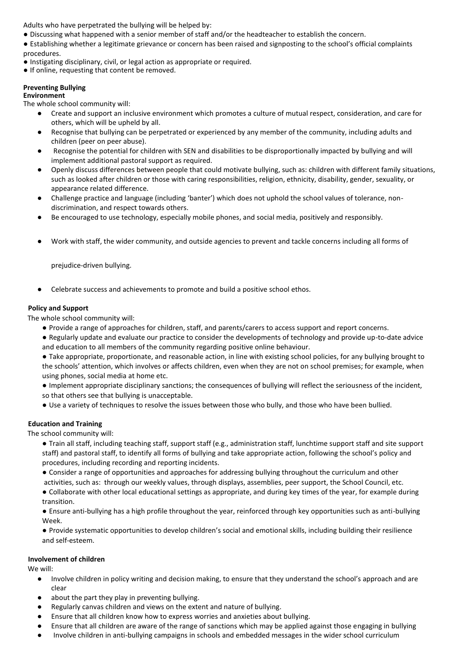Adults who have perpetrated the bullying will be helped by:

● Discussing what happened with a senior member of staff and/or the headteacher to establish the concern.

● Establishing whether a legitimate grievance or concern has been raised and signposting to the school's official complaints procedures.

- Instigating disciplinary, civil, or legal action as appropriate or required.
- If online, requesting that content be removed.

#### **Preventing Bullying**

**Environment** 

The whole school community will:

- Create and support an inclusive environment which promotes a culture of mutual respect, consideration, and care for others, which will be upheld by all.
- Recognise that bullying can be perpetrated or experienced by any member of the community, including adults and children (peer on peer abuse).
- Recognise the potential for children with SEN and disabilities to be disproportionally impacted by bullying and will implement additional pastoral support as required.
- Openly discuss differences between people that could motivate bullying, such as: children with different family situations, such as looked after children or those with caring responsibilities, religion, ethnicity, disability, gender, sexuality, or appearance related difference.
- Challenge practice and language (including 'banter') which does not uphold the school values of tolerance, nondiscrimination, and respect towards others.
- Be encouraged to use technology, especially mobile phones, and social media, positively and responsibly.
- Work with staff, the wider community, and outside agencies to prevent and tackle concerns including all forms of

prejudice-driven bullying.

Celebrate success and achievements to promote and build a positive school ethos.

#### **Policy and Support**

The whole school community will:

- Provide a range of approaches for children, staff, and parents/carers to access support and report concerns.
- Regularly update and evaluate our practice to consider the developments of technology and provide up-to-date advice and education to all members of the community regarding positive online behaviour.
- Take appropriate, proportionate, and reasonable action, in line with existing school policies, for any bullying brought to the schools' attention, which involves or affects children, even when they are not on school premises; for example, when using phones, social media at home etc.
- Implement appropriate disciplinary sanctions; the consequences of bullying will reflect the seriousness of the incident, so that others see that bullying is unacceptable.
- Use a variety of techniques to resolve the issues between those who bully, and those who have been bullied.

#### **Education and Training**

The school community will:

- Train all staff, including teaching staff, support staff (e.g., administration staff, lunchtime support staff and site support staff) and pastoral staff, to identify all forms of bullying and take appropriate action, following the school's policy and procedures, including recording and reporting incidents.
- Consider a range of opportunities and approaches for addressing bullying throughout the curriculum and other activities, such as: through our weekly values, through displays, assemblies, peer support, the School Council, etc.

● Collaborate with other local educational settings as appropriate, and during key times of the year, for example during transition.

● Ensure anti-bullying has a high profile throughout the year, reinforced through key opportunities such as anti-bullying Week.

● Provide systematic opportunities to develop children's social and emotional skills, including building their resilience and self-esteem.

#### **Involvement of children**

We will:

- Involve children in policy writing and decision making, to ensure that they understand the school's approach and are clear
- about the part they play in preventing bullying.
- Regularly canvas children and views on the extent and nature of bullying.
- Ensure that all children know how to express worries and anxieties about bullying.
- Ensure that all children are aware of the range of sanctions which may be applied against those engaging in bullying
- Involve children in anti-bullying campaigns in schools and embedded messages in the wider school curriculum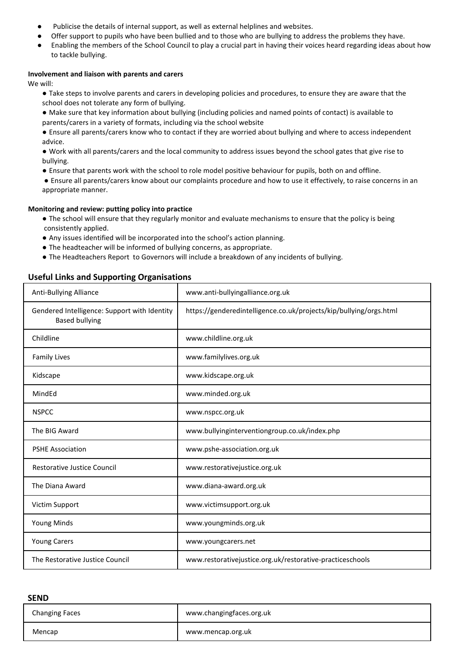- Publicise the details of internal support, as well as external helplines and websites.
- Offer support to pupils who have been bullied and to those who are bullying to address the problems they have.
- Enabling the members of the School Council to play a crucial part in having their voices heard regarding ideas about how to tackle bullying.

#### **Involvement and liaison with parents and carers**

We will:

- Take steps to involve parents and carers in developing policies and procedures, to ensure they are aware that the school does not tolerate any form of bullying.
- Make sure that key information about bullying (including policies and named points of contact) is available to parents/carers in a variety of formats, including via the school website
- Ensure all parents/carers know who to contact if they are worried about bullying and where to access independent advice.
- Work with all parents/carers and the local community to address issues beyond the school gates that give rise to bullying.
- Ensure that parents work with the school to role model positive behaviour for pupils, both on and offline.
- Ensure all parents/carers know about our complaints procedure and how to use it effectively, to raise concerns in an appropriate manner.

#### **Monitoring and review: putting policy into practice**

- The school will ensure that they regularly monitor and evaluate mechanisms to ensure that the policy is being consistently applied.
- Any issues identified will be incorporated into the school's action planning.
- The headteacher will be informed of bullying concerns, as appropriate.
- The Headteachers Report to Governors will include a breakdown of any incidents of bullying.

# **Useful Links and Supporting Organisations**

| <b>Anti-Bullying Alliance</b>                                         | www.anti-bullyingalliance.org.uk                                   |
|-----------------------------------------------------------------------|--------------------------------------------------------------------|
| Gendered Intelligence: Support with Identity<br><b>Based bullying</b> | https://genderedintelligence.co.uk/projects/kip/bullying/orgs.html |
| Childline                                                             | www.childline.org.uk                                               |
| <b>Family Lives</b>                                                   | www.familylives.org.uk                                             |
| Kidscape                                                              | www.kidscape.org.uk                                                |
| MindEd                                                                | www.minded.org.uk                                                  |
| <b>NSPCC</b>                                                          | www.nspcc.org.uk                                                   |
| The BIG Award                                                         | www.bullyinginterventiongroup.co.uk/index.php                      |
| <b>PSHE Association</b>                                               | www.pshe-association.org.uk                                        |
| <b>Restorative Justice Council</b>                                    | www.restorativejustice.org.uk                                      |
| The Diana Award                                                       | www.diana-award.org.uk                                             |
| Victim Support                                                        | www.victimsupport.org.uk                                           |
| <b>Young Minds</b>                                                    | www.youngminds.org.uk                                              |
| <b>Young Carers</b>                                                   | www.youngcarers.net                                                |
| The Restorative Justice Council                                       | www.restorativejustice.org.uk/restorative-practiceschools          |

#### **SEND**

| <b>Changing Faces</b> | www.changingfaces.org.uk |
|-----------------------|--------------------------|
| Mencap                | www.mencap.org.uk        |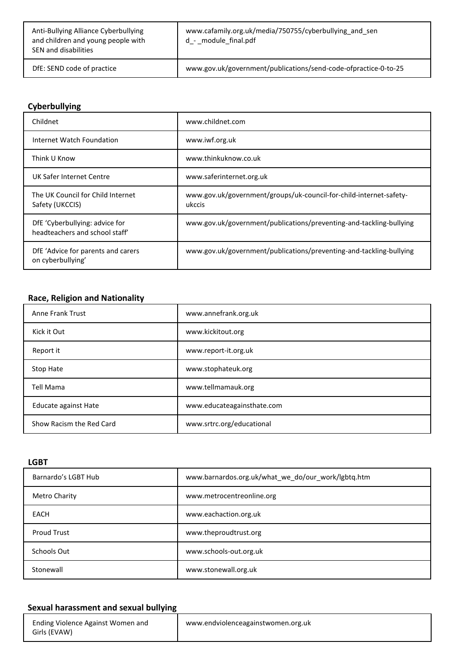| Anti-Bullying Alliance Cyberbullying<br>and children and young people with<br>SEN and disabilities | www.cafamily.org.uk/media/750755/cyberbullying and sen<br>d_- _module_final.pdf |
|----------------------------------------------------------------------------------------------------|---------------------------------------------------------------------------------|
| DfE: SEND code of practice                                                                         | www.gov.uk/government/publications/send-code-ofpractice-0-to-25                 |

# **Cyberbullying**

| Childnet                                                         | www.childnet.com                                                             |
|------------------------------------------------------------------|------------------------------------------------------------------------------|
| Internet Watch Foundation                                        | www.iwf.org.uk                                                               |
| Think U Know                                                     | www.thinkuknow.co.uk                                                         |
| UK Safer Internet Centre                                         | www.saferinternet.org.uk                                                     |
| The UK Council for Child Internet<br>Safety (UKCCIS)             | www.gov.uk/government/groups/uk-council-for-child-internet-safety-<br>ukccis |
| DfE 'Cyberbullying: advice for<br>headteachers and school staff' | www.gov.uk/government/publications/preventing-and-tackling-bullying          |
| DfE 'Advice for parents and carers<br>on cyberbullying'          | www.gov.uk/government/publications/preventing-and-tackling-bullying          |

# **Race, Religion and Nationality**

| <b>Anne Frank Trust</b>  | www.annefrank.org.uk       |
|--------------------------|----------------------------|
| Kick it Out              | www.kickitout.org          |
| Report it                | www.report-it.org.uk       |
| Stop Hate                | www.stophateuk.org         |
| Tell Mama                | www.tellmamauk.org         |
| Educate against Hate     | www.educateagainsthate.com |
| Show Racism the Red Card | www.srtrc.org/educational  |

**LGBT** 

| Barnardo's LGBT Hub | www.barnardos.org.uk/what we do/our work/lgbtq.htm |
|---------------------|----------------------------------------------------|
| Metro Charity       | www.metrocentreonline.org                          |
| <b>EACH</b>         | www.eachaction.org.uk                              |
| <b>Proud Trust</b>  | www.theproudtrust.org                              |
| Schools Out         | www.schools-out.org.uk                             |
| Stonewall           | www.stonewall.org.uk                               |

# **Sexual harassment and sexual bullying**